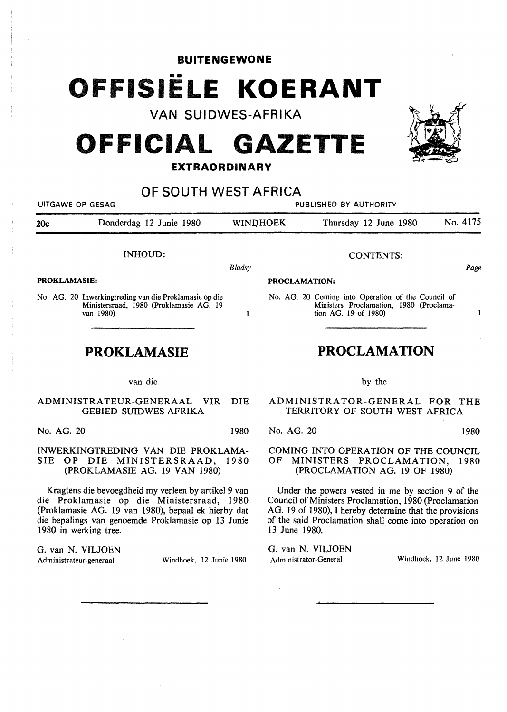**BUITENGEWONE** 

## •• **OFFISIELE KOERANT**

**VAN SUIDWES-AFRIKA** 

## **OFFICIAL GAZETTE**

## **EXTRAORDINARY**

| OF SOUTH WEST AFRICA<br>UITGAWE OP GESAG<br><b>PUBLISHED BY AUTHORITY</b>                                           |                                                                                                                |            |                                                                                                             |                                                                                                                       |          |
|---------------------------------------------------------------------------------------------------------------------|----------------------------------------------------------------------------------------------------------------|------------|-------------------------------------------------------------------------------------------------------------|-----------------------------------------------------------------------------------------------------------------------|----------|
| 20c                                                                                                                 | Donderdag 12 Junie 1980                                                                                        |            | <b>WINDHOEK</b>                                                                                             | Thursday 12 June 1980                                                                                                 | No. 4175 |
|                                                                                                                     | <b>INHOUD:</b>                                                                                                 |            |                                                                                                             | <b>CONTENTS:</b>                                                                                                      |          |
| <b>PROKLAMASIE:</b>                                                                                                 |                                                                                                                | Bladsy     | Page<br><b>PROCLAMATION:</b>                                                                                |                                                                                                                       |          |
|                                                                                                                     | No. AG. 20 Inwerkingtreding van die Proklamasie op die<br>Ministersraad, 1980 (Proklamasie AG. 19<br>van 1980) | 1          |                                                                                                             | No. AG. 20 Coming into Operation of the Council of<br>Ministers Proclamation, 1980 (Proclama-<br>tion AG. 19 of 1980) | 1        |
| PROKLAMASIE                                                                                                         |                                                                                                                |            | <b>PROCLAMATION</b>                                                                                         |                                                                                                                       |          |
|                                                                                                                     | van die                                                                                                        |            |                                                                                                             | by the                                                                                                                |          |
| ADMINISTRATEUR-GENERAAL<br><b>VIR</b><br><b>GEBIED SUIDWES-AFRIKA</b>                                               |                                                                                                                | <b>DIE</b> |                                                                                                             | ADMINISTRATOR-GENERAL FOR THE<br>TERRITORY OF SOUTH WEST AFRICA                                                       |          |
| No. AG. 20                                                                                                          |                                                                                                                | 1980       | No. AG. 20                                                                                                  |                                                                                                                       | 1980     |
| INWERKINGTREDING VAN DIE PROKLAMA-<br><b>SIE</b><br>DIE MINISTERSRAAD, 1980<br>OP.<br>(PROKLAMASIE AG. 19 VAN 1980) |                                                                                                                |            | COMING INTO OPERATION OF THE COUNCIL<br>OF<br>MINISTERS PROCLAMATION, 1980<br>(PROCLAMATION AG. 19 OF 1980) |                                                                                                                       |          |

Kragtens die bevoegdheid my verleen by artikel 9 van die Proklamasie op die Ministersraad, 1980 (Proklamasie AG. 19 van 1980), bepaal ek hierby dat die bepalings van genoemde Proklamasie op 13 Junie 1980 in werking tree.

G. van N. VILJOEN Administrateur-generaal Windhoek, 12 Junie 1980

Under the powers vested in me by section 9 of the Council of Ministers Proclamation, 1980 (Proclamation AG. 19 of 1980), I hereby determine that the provisions of the said Proclamation shall come into operation on 13 June 1980.

G. van N. VILJOEN Administrator-General Windhoek, 12 June 1980